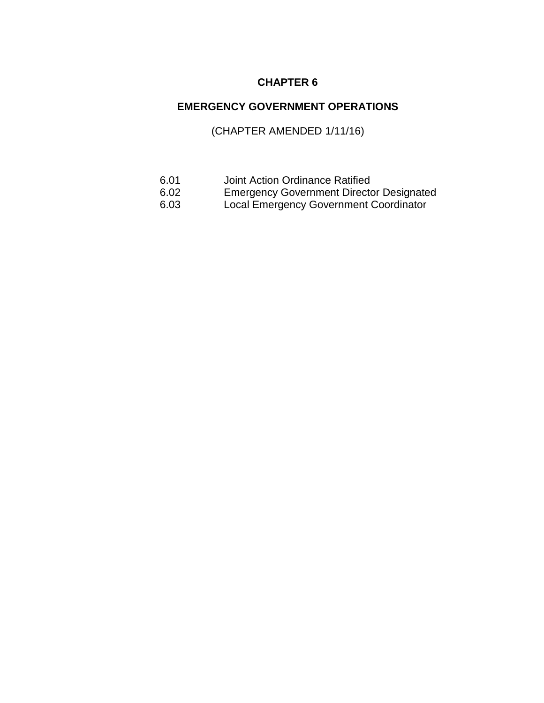# **CHAPTER 6**

### **EMERGENCY GOVERNMENT OPERATIONS**

# (CHAPTER AMENDED 1/11/16)

- 6.01 Joint Action Ordinance Ratified<br>6.02 Emergency Government Directo
- 6.02 Emergency Government Director Designated
- 6.03 Local Emergency Government Coordinator